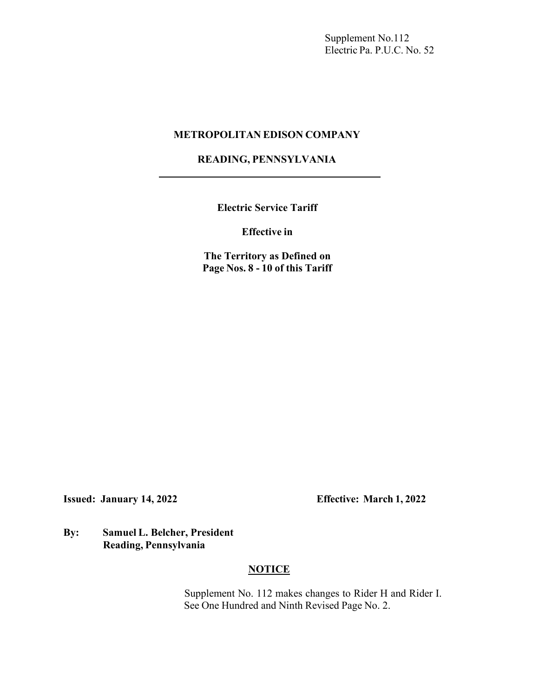Supplement No.112 Electric Pa. P.U.C. No. 52

#### **METROPOLITAN EDISON COMPANY**

## **READING, PENNSYLVANIA**

**Electric Service Tariff**

**Effective in**

**The Territory as Defined on Page Nos. 8 - 10 of this Tariff**

**Issued: January 14, 2022 Effective: March 1, 2022**

### **By: Samuel L. Belcher, President Reading, Pennsylvania**

## **NOTICE**

Supplement No. 112 makes changes to Rider H and Rider I. See One Hundred and Ninth Revised Page No. 2.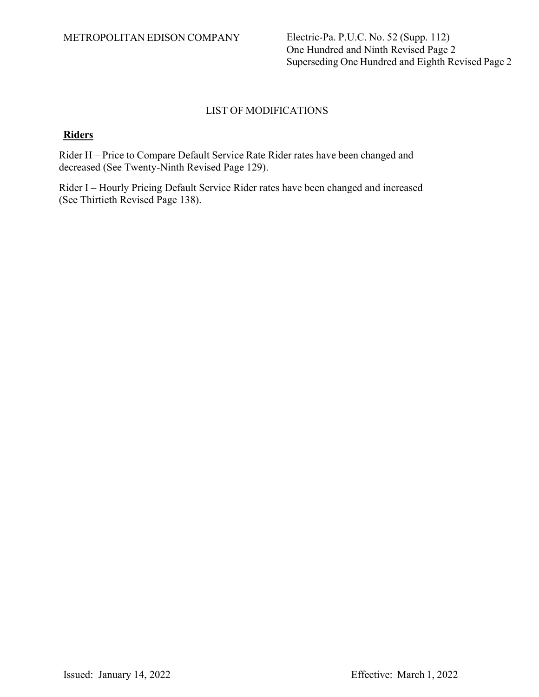One Hundred and Ninth Revised Page 2 Superseding One Hundred and Eighth Revised Page 2

#### LIST OF MODIFICATIONS

#### **Riders**

Rider H – Price to Compare Default Service Rate Rider rates have been changed and decreased (See Twenty-Ninth Revised Page 129).

Rider I – Hourly Pricing Default Service Rider rates have been changed and increased (See Thirtieth Revised Page 138).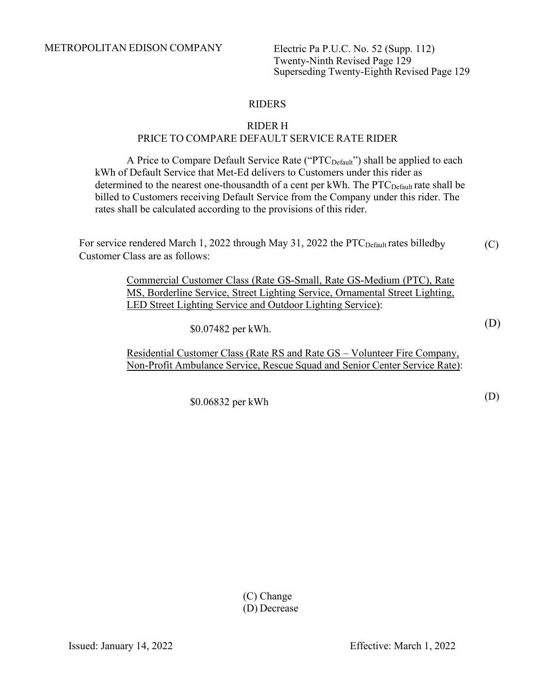Twenty-Ninth Revised Page 129 Superseding Twenty-Eighth Revised Page 129

### RIDERS

# RIDER H

## PRICE TO COMPARE DEFAULT SERVICE RATE RIDER

A Price to Compare Default Service Rate ("PTC<sub>Default</sub>") shall be applied to each kWh of Default Service that Met-Ed delivers to Customers under this rider as determined to the nearest one-thousandth of a cent per kWh. The PTC<sub>Default</sub> rate shall be billed to Customers receiving Default Service from the Company under this rider. The rates shall be calculated according to the provisions of this rider.

For service rendered March 1, 2022 through May 31, 2022 the PTC<sub>Default</sub> rates billedby Customer Class are as follows: (C)

> Commercial Customer Class (Rate GS-Small, Rate GS-Medium (PTC), Rate MS, Borderline Service, Street Lighting Service, Ornamental Street Lighting, LED Street Lighting Service and Outdoor Lighting Service):

> > \$0.07482 per kWh.

Residential Customer Class (Rate RS and Rate GS – Volunteer Fire Company, Non-Profit Ambulance Service, Rescue Squad and Senior Center Service Rate):

\$0.06832 per kWh

(D)

(D)

(C) Change (D) Decrease